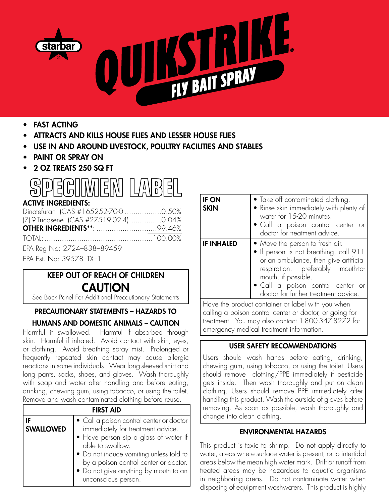

- • FAST ACTING
- ATTRACTS AND KILLS HOUSE FLIES AND LESSER HOUSE FLIES
- USE IN AND AROUND LIVESTOCK, POULTRY FACILITIES AND STABLES
- **PAINT OR SPRAY ON**
- 2 OZ TREATS 250 SQ FT



## ACTIVE INGREDIENTS:

| Dinotefuran (CAS #165252-70-0 0.50%    |  |
|----------------------------------------|--|
| (Z)-9-Tricosene (CAS #27519-02-4)0.04% |  |
|                                        |  |
|                                        |  |
| EPA Reg No: 2724-838-89459             |  |
| EPA Est. No: 39578-TX-1                |  |

# KEEP OUT OF REACH OF CHILDREN **CAUTION**

See Back Panel For Additional Precautionary Statements

## PRECAUTIONARY STATEMENTS – HAZARDS TO

## HUMANS AND DOMESTIC ANIMALS – CAUTION

Harmful if swallowed. Harmful if absorbed through skin. Harmful if inhaled. Avoid contact with skin, eyes, or clothing. Avoid breathing spray mist. Prolonged or frequently repeated skin contact may cause allergic reactions in some individuals. Wear long-sleeved shirt and long pants, socks, shoes, and gloves. Wash thoroughly with soap and water after handling and before eating, drinking, chewing gum, using tobacco, or using the toilet. Remove and wash contaminated clothing before reuse.

| <b>FIRST AID</b> |                                                                                                                                                                                                                                                                                                |  |  |  |
|------------------|------------------------------------------------------------------------------------------------------------------------------------------------------------------------------------------------------------------------------------------------------------------------------------------------|--|--|--|
| <b>SWALLOWED</b> | • Call a poison control center or doctor<br>immediately for treatment advice.<br>• Have person sip a glass of water if<br>able to swallow.<br>• Do not induce vomiting unless told to<br>by a poison control center or doctor.<br>• Do not give anything by mouth to an<br>unconscious person. |  |  |  |

| <b>IF ON</b><br><b>SKIN</b> | • Take off contaminated clothing.<br>• Rinse skin immediately with plenty of<br>water for 15-20 minutes.<br>• Call a poison control center or<br>doctor for treatment advice.                                                                               |
|-----------------------------|-------------------------------------------------------------------------------------------------------------------------------------------------------------------------------------------------------------------------------------------------------------|
| <b>IF INHALED</b>           | • Move the person to fresh air.<br>• If person is not breathing, call 911<br>or an ambulance, then give artificial<br>respiration, preferably mouth-to-<br>mouth, if possible.<br>· Call a poison control center or<br>doctor for further treatment advice. |

Have the product container or label with you when calling a poison control center or doctor, or going for treatment. You may also contact 1-800-347-8272 for emergency medical treatment information.

## USER SAFETY RECOMMENDATIONS

Users should wash hands before eating, drinking, chewing gum, using tobacco, or using the toilet. Users should remove clothing/PPE immediately if pesticide gets inside. Then wash thoroughly and put on clean clothing. Users should remove PPE immediately after handling this product. Wash the outside of gloves before removing. As soon as possible, wash thoroughly and change into clean clothing.

## ENVIRONMENTAL HAZARDS

This product is toxic to shrimp. Do not apply directly to water, areas where surface water is present, or to intertidal areas below the mean high water mark. Drift or runoff from treated areas may be hazardous to aquatic organisms in neighboring areas. Do not contaminate water when disposing of equipment washwaters. This product is highly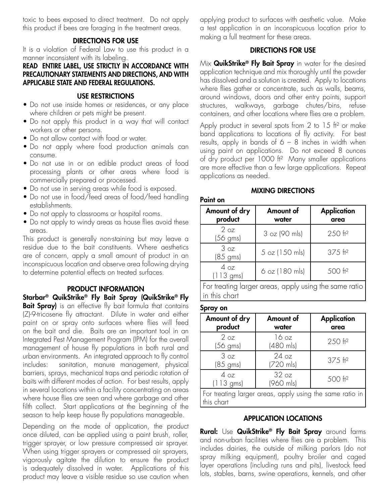toxic to bees exposed to direct treatment. Do not apply this product if bees are foraging in the treatment areas.

#### DIRECTIONS FOR USE

It is a violation of Federal Law to use this product in a manner inconsistent with its labeling.

#### READ ENTIRE LABEL, USE STRICTLY IN ACCORDANCE WITH PRECAUTIONARY STATEMENTS AND DIRECTIONS, AND WITH APPLICABLE STATE AND FEDERAL REGULATIONS.

#### USE RESTRICTIONS

- Do not use inside homes or residences, or any place where children or pets might be present.
- Do not apply this product in a way that will contact workers or other persons.
- Do not allow contact with food or water.
- Do not apply where food production animals can consume.
- Do not use in or on edible product areas of food processing plants or other areas where food is commercially prepared or processed.
- Do not use in serving areas while food is exposed.
- Do not use in food/feed areas of food/feed handling establishments.
- Do not apply to classrooms or hospital rooms.
- Do not apply to windy areas as house flies avoid these areas.

This product is generally non-staining but may leave a residue due to the bait constituents. Where aesthetics are of concern, apply a small amount of product in an inconspicuous location and observe area following drying to determine potential effects on treated surfaces.

#### PRODUCT INFORMATION

Starbar® QuikStrike® Fly Bait Spray (QuikStrike® Fly Bait Spray) is an effective fly bait formula that contains (Z)-9-tricosene fly attractant. Dilute in water and either paint on or spray onto surfaces where flies will feed on the bait and die. Baits are an important tool in an Integrated Pest Management Program (IPM) for the overall management of house fly populations in both rural and urban environments. An integrated approach to fly control includes: sanitation, manure management, physical barriers, sprays, mechanical traps and periodic rotation of baits with different modes of action. For best results, apply in several locations within a facility concentrating on areas where house flies are seen and where garbage and other filth collect. Start applications at the beginning of the season to help keep house fly populations manageable.

Depending on the mode of application, the product once diluted, can be applied using a paint brush, roller, trigger sprayer, or low pressure compressed air sprayer. When using trigger sprayers or compressed air sprayers, vigorously agitate the dilution to ensure the product is adequately dissolved in water. Applications of this product may leave a visible residue so use caution when

applying product to surfaces with aesthetic value. Make a test application in an inconspicuous location prior to making a full treatment for these areas.

#### DIRECTIONS FOR USE

Mix **QuikStrike<sup>®</sup> Fly Bait Spray** in water for the desired application technique and mix thoroughly until the powder has dissolved and a solution is created. Apply to locations where flies gather or concentrate, such as walls, beams, around windows, doors and other entry points, support structures, walkways, garbage chutes/bins, refuse containers, and other locations where flies are a problem.

Apply product in several spots from 2 to 15 ft<sup>2</sup> or make band applications to locations of fly activity. For best results, apply in bands of  $6 - 8$  inches in width when using paint on applications. Do not exceed 8 ounces of dry product per 1000 ft<sup>2</sup> Many smaller applications are more effective than a few large applications. Repeat applications as needed.

#### MIXING DIRECTIONS

#### Paint on

| Amount of dry<br>product      | Amount of<br>water | <b>Application</b><br>area |
|-------------------------------|--------------------|----------------------------|
| 2 oz<br>$(56 \text{ gms})$    | 3 oz (90 mls)      | 250 ft <sup>2</sup>        |
| 3 oz<br>$(85 \text{ gms})$    | 5 oz (150 mls)     | $375$ ft <sup>2</sup>      |
| 4 oz<br>$(113 \, \text{gms})$ | $6$ oz (180 mls)   | 500 ft <sup>2</sup>        |

For treating larger areas, apply using the same ratio in this chart

#### Spray on

| Amount of dry<br>product                                               | Amount of<br>water | <b>Application</b><br>area |  |
|------------------------------------------------------------------------|--------------------|----------------------------|--|
| 2 oz<br>$(56 \text{ gms})$                                             | 16 oz<br>(480 mls) | 250 ft <sup>2</sup>        |  |
| 3 oz<br>$(85 \text{ gms})$                                             | 24 oz<br>(720 mls) | $375$ ft <sup>2</sup>      |  |
| 4oz<br>$(113 \text{ gms})$                                             | 32 oz<br>(960 mls) | 500 ft <sup>2</sup>        |  |
| For treating larger areas, apply using the same ratio in<br>this chart |                    |                            |  |

#### APPLICATION LOCATIONS

Rural: Use QuikStrike<sup>®</sup> Fly Bait Spray around farms and non-urban facilities where flies are a problem. This includes dairies, the outside of milking parlors (do not spray milking equipment), poultry broiler and caged layer operations (including runs and pits), livestock feed lots, stables, barns, swine operations, kennels, and other